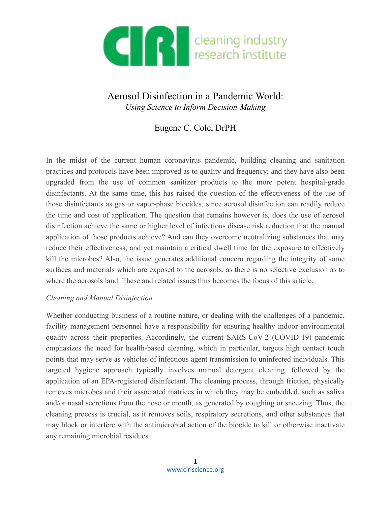

# Aerosol Disinfection in a Pandemic World: *Using Science to Inform Decision-Making*

## Eugene C. Cole, DrPH

In the midst of the current human coronavirus pandemic, building cleaning and sanitation practices and protocols have been improved as to quality and frequency; and they have also been upgraded from the use of common sanitizer products to the more potent hospital-grade disinfectants. At the same time, this has raised the question of the effectiveness of the use of those disinfectants as gas or vapor-phase biocides, since aerosol disinfection can readily reduce the time and cost of application. The question that remains however is, does the use of aerosol disinfection achieve the same or higher level of infectious disease risk reduction that the manual application of those products achieve? And can they overcome neutralizing substances that may reduce their effectiveness, and yet maintain a critical dwell time for the exposure to effectively kill the microbes? Also, the issue generates additional concern regarding the integrity of some surfaces and materials which are exposed to the aerosols, as there is no selective exclusion as to where the aerosols land. These and related issues thus becomes the focus of this article.

#### *Cleaning and Manual Disinfection*

Whether conducting business of a routine nature, or dealing with the challenges of a pandemic, facility management personnel have a responsibility for ensuring healthy indoor environmental quality across their properties. Accordingly, the current SARS-CoV-2 (COVID-19) pandemic emphasizes the need for health-based cleaning, which in particular, targets high contact touch points that may serve as vehicles of infectious agent transmission to uninfected individuals. This targeted hygiene approach typically involves manual detergent cleaning, followed by the application of an EPA-registered disinfectant. The cleaning process, through friction, physically removes microbes and their associated matrices in which they may be embedded, such as saliva and/or nasal secretions from the nose or mouth, as generated by coughing or sneezing. Thus, the cleaning process is crucial, as it removes soils, respiratory secretions, and other substances that may block or interfere with the antimicrobial action of the biocide to kill or otherwise inactivate any remaining microbial residues.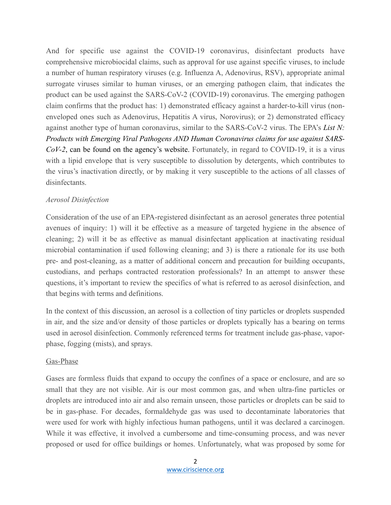And for specific use against the COVID-19 coronavirus, disinfectant products have comprehensive microbiocidal claims, such as approval for use against specific viruses, to include a number of human respiratory viruses (e.g. Influenza A, Adenovirus, RSV), appropriate animal surrogate viruses similar to human viruses, or an emerging pathogen claim, that indicates the product can be used against the SARS-CoV-2 (COVID-19) coronavirus. The emerging pathogen claim confirms that the product has: 1) demonstrated efficacy against a harder-to-kill virus (nonenveloped ones such as Adenovirus, Hepatitis A virus, Norovirus); or 2) demonstrated efficacy against another type of human coronavirus, similar to the SARS-CoV-2 virus. The EPA's *List N: Products with Emerging Viral Pathogens AND Human Coronavirus claims for use against SARS-CoV-2*, can be found on the agency's website. Fortunately, in regard to COVID-19, it is a virus with a lipid envelope that is very susceptible to dissolution by detergents, which contributes to the virus's inactivation directly, or by making it very susceptible to the actions of all classes of disinfectants.

## *Aerosol Disinfection*

Consideration of the use of an EPA-registered disinfectant as an aerosol generates three potential avenues of inquiry: 1) will it be effective as a measure of targeted hygiene in the absence of cleaning; 2) will it be as effective as manual disinfectant application at inactivating residual microbial contamination if used following cleaning; and 3) is there a rationale for its use both pre- and post-cleaning, as a matter of additional concern and precaution for building occupants, custodians, and perhaps contracted restoration professionals? In an attempt to answer these questions, it's important to review the specifics of what is referred to as aerosol disinfection, and that begins with terms and definitions.

In the context of this discussion, an aerosol is a collection of tiny particles or droplets suspended in air, and the size and/or density of those particles or droplets typically has a bearing on terms used in aerosol disinfection. Commonly referenced terms for treatment include gas-phase, vaporphase, fogging (mists), and sprays.

## Gas-Phase

Gases are formless fluids that expand to occupy the confines of a space or enclosure, and are so small that they are not visible. Air is our most common gas, and when ultra-fine particles or droplets are introduced into air and also remain unseen, those particles or droplets can be said to be in gas-phase. For decades, formaldehyde gas was used to decontaminate laboratories that were used for work with highly infectious human pathogens, until it was declared a carcinogen. While it was effective, it involved a cumbersome and time-consuming process, and was never proposed or used for office buildings or homes. Unfortunately, what was proposed by some for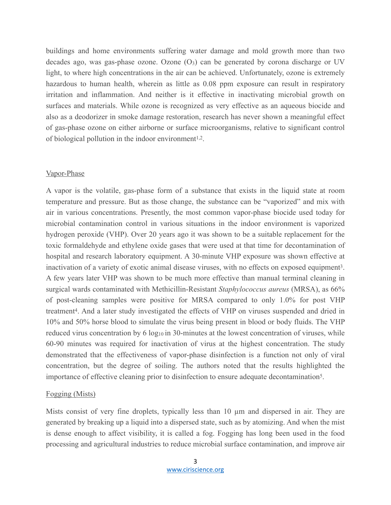buildings and home environments suffering water damage and mold growth more than two decades ago, was gas-phase ozone. Ozone  $(O<sub>3</sub>)$  can be generated by corona discharge or UV light, to where high concentrations in the air can be achieved. Unfortunately, ozone is extremely hazardous to human health, wherein as little as 0.08 ppm exposure can result in respiratory irritation and inflammation. And neither is it effective in inactivating microbial growth on surfaces and materials. While ozone is recognized as very effective as an aqueous biocide and also as a deodorizer in smoke damage restoration, research has never shown a meaningful effect of gas-phase ozone on either airborne or surface microorganisms, relative to significant control of biological pollution in the indoor environment1,2.

#### Vapor-Phase

A vapor is the volatile, gas-phase form of a substance that exists in the liquid state at room temperature and pressure. But as those change, the substance can be "vaporized" and mix with air in various concentrations. Presently, the most common vapor-phase biocide used today for microbial contamination control in various situations in the indoor environment is vaporized hydrogen peroxide (VHP). Over 20 years ago it was shown to be a suitable replacement for the toxic formaldehyde and ethylene oxide gases that were used at that time for decontamination of hospital and research laboratory equipment. A 30-minute VHP exposure was shown effective at inactivation of a variety of exotic animal disease viruses, with no effects on exposed equipment3. A few years later VHP was shown to be much more effective than manual terminal cleaning in surgical wards contaminated with Methicillin-Resistant *Staphylococcus aureus* (MRSA), as 66% of post-cleaning samples were positive for MRSA compared to only 1.0% for post VHP treatment4. And a later study investigated the effects of VHP on viruses suspended and dried in 10% and 50% horse blood to simulate the virus being present in blood or body fluids. The VHP reduced virus concentration by 6 log<sub>10</sub> in 30-minutes at the lowest concentration of viruses, while 60-90 minutes was required for inactivation of virus at the highest concentration. The study demonstrated that the effectiveness of vapor-phase disinfection is a function not only of viral concentration, but the degree of soiling. The authors noted that the results highlighted the importance of effective cleaning prior to disinfection to ensure adequate decontamination5.

#### Fogging (Mists)

Mists consist of very fine droplets, typically less than 10  $\mu$ m and dispersed in air. They are generated by breaking up a liquid into a dispersed state, such as by atomizing. And when the mist is dense enough to affect visibility, it is called a fog. Fogging has long been used in the food processing and agricultural industries to reduce microbial surface contamination, and improve air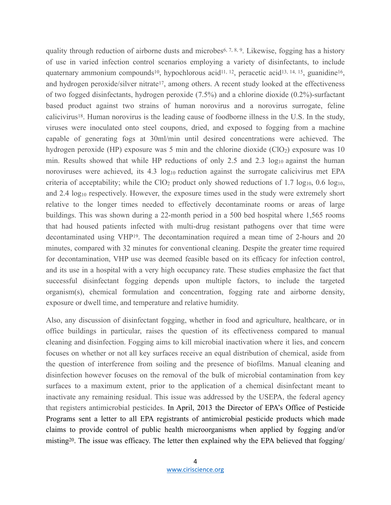quality through reduction of airborne dusts and microbes<sup>6, 7, 8, 9</sup>. Likewise, fogging has a history of use in varied infection control scenarios employing a variety of disinfectants, to include quaternary ammonium compounds<sup>10</sup>, hypochlorous acid<sup>11, 12</sup>, peracetic acid<sup>13, 14, 15</sup>, guanidine<sup>16</sup>, and hydrogen peroxide/silver nitrate<sup>17</sup>, among others. A recent study looked at the effectiveness of two fogged disinfectants, hydrogen peroxide (7.5%) and a chlorine dioxide (0.2%)-surfactant based product against two strains of human norovirus and a norovirus surrogate, feline calicivirus18. Human norovirus is the leading cause of foodborne illness in the U.S. In the study, viruses were inoculated onto steel coupons, dried, and exposed to fogging from a machine capable of generating fogs at 30ml/min until desired concentrations were achieved. The hydrogen peroxide (HP) exposure was 5 min and the chlorine dioxide (ClO2) exposure was 10 min. Results showed that while HP reductions of only 2.5 and 2.3 log<sub>10</sub> against the human noroviruses were achieved, its  $4.3 \log_{10}$  reduction against the surrogate calicivirus met EPA criteria of acceptability; while the  $ClO<sub>2</sub>$  product only showed reductions of 1.7 log<sub>10</sub>, 0.6 log<sub>10</sub>, and 2.4 log<sub>10</sub> respectively. However, the exposure times used in the study were extremely short relative to the longer times needed to effectively decontaminate rooms or areas of large buildings. This was shown during a 22-month period in a 500 bed hospital where 1,565 rooms that had housed patients infected with multi-drug resistant pathogens over that time were decontaminated using VHP19. The decontamination required a mean time of 2-hours and 20 minutes, compared with 32 minutes for conventional cleaning. Despite the greater time required for decontamination, VHP use was deemed feasible based on its efficacy for infection control, and its use in a hospital with a very high occupancy rate. These studies emphasize the fact that successful disinfectant fogging depends upon multiple factors, to include the targeted organism(s), chemical formulation and concentration, fogging rate and airborne density, exposure or dwell time, and temperature and relative humidity.

Also, any discussion of disinfectant fogging, whether in food and agriculture, healthcare, or in office buildings in particular, raises the question of its effectiveness compared to manual cleaning and disinfection. Fogging aims to kill microbial inactivation where it lies, and concern focuses on whether or not all key surfaces receive an equal distribution of chemical, aside from the question of interference from soiling and the presence of biofilms. Manual cleaning and disinfection however focuses on the removal of the bulk of microbial contamination from key surfaces to a maximum extent, prior to the application of a chemical disinfectant meant to inactivate any remaining residual. This issue was addressed by the USEPA, the federal agency that registers antimicrobial pesticides. In April, 2013 the Director of EPA's Office of Pesticide Programs sent a letter to all EPA registrants of antimicrobial pesticide products which made claims to provide control of public health microorganisms when applied by fogging and/or misting20. The issue was efficacy. The letter then explained why the EPA believed that fogging/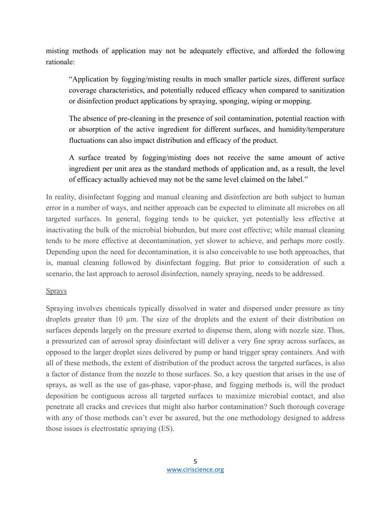misting methods of application may not be adequately effective, and afforded the following rationale:

"Application by fogging/misting results in much smaller particle sizes, different surface coverage characteristics, and potentially reduced efficacy when compared to sanitization or disinfection product applications by spraying, sponging, wiping or mopping.

The absence of pre-cleaning in the presence of soil contamination, potential reaction with or absorption of the active ingredient for different surfaces, and humidity/temperature fluctuations can also impact distribution and efficacy of the product.

A surface treated by fogging/misting does not receive the same amount of active ingredient per unit area as the standard methods of application and, as a result, the level of efficacy actually achieved may not be the same level claimed on the label."

In reality, disinfectant fogging and manual cleaning and disinfection are both subject to human error in a number of ways, and neither approach can be expected to eliminate all microbes on all targeted surfaces. In general, fogging tends to be quicker, yet potentially less effective at inactivating the bulk of the microbial bioburden, but more cost effective; while manual cleaning tends to be more effective at decontamination, yet slower to achieve, and perhaps more costly. Depending upon the need for decontamination, it is also conceivable to use both approaches, that is, manual cleaning followed by disinfectant fogging. But prior to consideration of such a scenario, the last approach to aerosol disinfection, namely spraying, needs to be addressed.

## **Sprays**

Spraying involves chemicals typically dissolved in water and dispersed under pressure as tiny droplets greater than 10  $\mu$ m. The size of the droplets and the extent of their distribution on surfaces depends largely on the pressure exerted to dispense them, along with nozzle size. Thus, a pressurized can of aerosol spray disinfectant will deliver a very fine spray across surfaces, as opposed to the larger droplet sizes delivered by pump or hand trigger spray containers. And with all of these methods, the extent of distribution of the product across the targeted surfaces, is also a factor of distance from the nozzle to those surfaces. So, a key question that arises in the use of sprays, as well as the use of gas-phase, vapor-phase, and fogging methods is, will the product deposition be contiguous across all targeted surfaces to maximize microbial contact, and also penetrate all cracks and crevices that might also harbor contamination? Such thorough coverage with any of those methods can't ever be assured, but the one methodology designed to address those issues is electrostatic spraying (ES).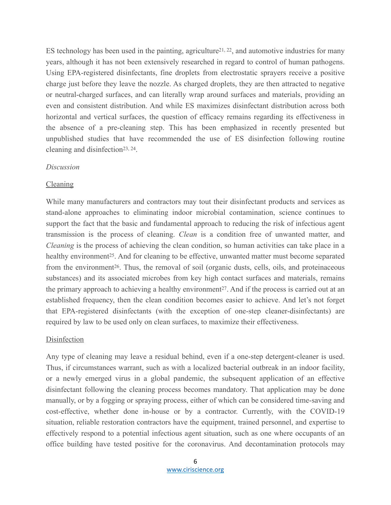ES technology has been used in the painting, agriculture<sup>21, 22</sup>, and automotive industries for many years, although it has not been extensively researched in regard to control of human pathogens. Using EPA-registered disinfectants, fine droplets from electrostatic sprayers receive a positive charge just before they leave the nozzle. As charged droplets, they are then attracted to negative or neutral-charged surfaces, and can literally wrap around surfaces and materials, providing an even and consistent distribution. And while ES maximizes disinfectant distribution across both horizontal and vertical surfaces, the question of efficacy remains regarding its effectiveness in the absence of a pre-cleaning step. This has been emphasized in recently presented but unpublished studies that have recommended the use of ES disinfection following routine cleaning and disinfection23, 24.

#### *Discussion*

#### Cleaning

While many manufacturers and contractors may tout their disinfectant products and services as stand-alone approaches to eliminating indoor microbial contamination, science continues to support the fact that the basic and fundamental approach to reducing the risk of infectious agent transmission is the process of cleaning. *Clean* is a condition free of unwanted matter, and *Cleaning* is the process of achieving the clean condition, so human activities can take place in a healthy environment<sup>25</sup>. And for cleaning to be effective, unwanted matter must become separated from the environment<sup>26</sup>. Thus, the removal of soil (organic dusts, cells, oils, and proteinaceous substances) and its associated microbes from key high contact surfaces and materials, remains the primary approach to achieving a healthy environment<sup>27</sup>. And if the process is carried out at an established frequency, then the clean condition becomes easier to achieve. And let's not forget that EPA-registered disinfectants (with the exception of one-step cleaner-disinfectants) are required by law to be used only on clean surfaces, to maximize their effectiveness.

#### Disinfection

Any type of cleaning may leave a residual behind, even if a one-step detergent-cleaner is used. Thus, if circumstances warrant, such as with a localized bacterial outbreak in an indoor facility, or a newly emerged virus in a global pandemic, the subsequent application of an effective disinfectant following the cleaning process becomes mandatory. That application may be done manually, or by a fogging or spraying process, either of which can be considered time-saving and cost-effective, whether done in-house or by a contractor. Currently, with the COVID-19 situation, reliable restoration contractors have the equipment, trained personnel, and expertise to effectively respond to a potential infectious agent situation, such as one where occupants of an office building have tested positive for the coronavirus. And decontamination protocols may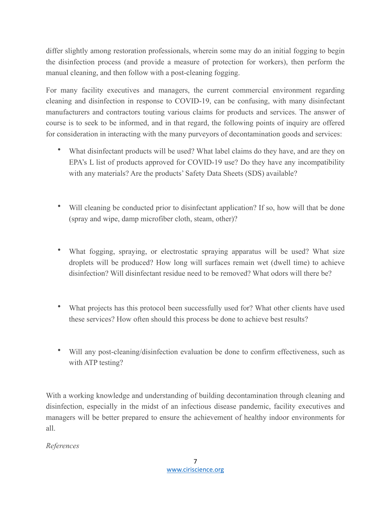differ slightly among restoration professionals, wherein some may do an initial fogging to begin the disinfection process (and provide a measure of protection for workers), then perform the manual cleaning, and then follow with a post-cleaning fogging.

For many facility executives and managers, the current commercial environment regarding cleaning and disinfection in response to COVID-19, can be confusing, with many disinfectant manufacturers and contractors touting various claims for products and services. The answer of course is to seek to be informed, and in that regard, the following points of inquiry are offered for consideration in interacting with the many purveyors of decontamination goods and services:

- What disinfectant products will be used? What label claims do they have, and are they on EPA's L list of products approved for COVID-19 use? Do they have any incompatibility with any materials? Are the products' Safety Data Sheets (SDS) available?
- Will cleaning be conducted prior to disinfectant application? If so, how will that be done (spray and wipe, damp microfiber cloth, steam, other)?
- What fogging, spraying, or electrostatic spraying apparatus will be used? What size droplets will be produced? How long will surfaces remain wet (dwell time) to achieve disinfection? Will disinfectant residue need to be removed? What odors will there be?
- What projects has this protocol been successfully used for? What other clients have used these services? How often should this process be done to achieve best results?
- Will any post-cleaning/disinfection evaluation be done to confirm effectiveness, such as with ATP testing?

With a working knowledge and understanding of building decontamination through cleaning and disinfection, especially in the midst of an infectious disease pandemic, facility executives and managers will be better prepared to ensure the achievement of healthy indoor environments for all.

## *References*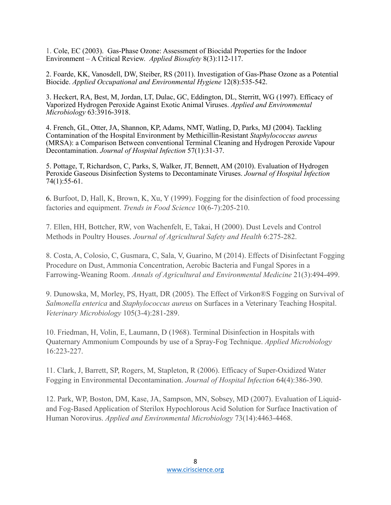1. Cole, EC (2003). Gas-Phase Ozone: Assessment of Biocidal Properties for the Indoor Environment – A Critical Review. *Applied Biosafety* 8(3):112-117.

2. Foarde, KK, Vanosdell, DW, Steiber, RS (2011). Investigation of Gas-Phase Ozone as a Potential Biocide. *Applied Occupational and Environmental Hygiene* 12(8):535-542.

3. Heckert, RA, Best, M, Jordan, LT, Dulac, GC, Eddington, DL, Sterritt, WG (1997). Efficacy of Vaporized Hydrogen Peroxide Against Exotic Animal Viruses. *Applied and Environmental Microbiology* 63:3916-3918.

4. French, GL, Otter, JA, Shannon, KP, Adams, NMT, Watling, D, Parks, MJ (2004). Tackling Contamination of the Hospital Environment by Methicillin-Resistant *Staphylococcus aureus* (MRSA): a Comparison Between conventional Terminal Cleaning and Hydrogen Peroxide Vapour Decontamination. *Journal of Hospital Infection* 57(1):31-37.

5. Pottage, T, Richardson, C, Parks, S, Walker, JT, Bennett, AM (2010). Evaluation of Hydrogen Peroxide Gaseous Disinfection Systems to Decontaminate Viruses. *Journal of Hospital Infection*  74(1):55-61.

6. Burfoot, D, Hall, K, Brown, K, Xu, Y (1999). Fogging for the disinfection of food processing factories and equipment. *Trends in Food Science* 10(6-7):205-210.

7. Ellen, HH, Bottcher, RW, von Wachenfelt, E, Takai, H (2000). Dust Levels and Control Methods in Poultry Houses. *Journal of Agricultural Safety and Health* 6:275-282.

8. Costa, A, Colosio, C, Gusmara, C, Sala, V, Guarino, M (2014). Effects of Disinfectant Fogging Procedure on Dust, Ammonia Concentration, Aerobic Bacteria and Fungal Spores in a Farrowing-Weaning Room. *Annals of Agricultural and Environmental Medicine* 21(3):494-499.

9. Dunowska, M, Morley, PS, Hyatt, DR (2005). The Effect of Virkon®S Fogging on Survival of *Salmonella enterica* and *Staphylococcus aureus* on Surfaces in a Veterinary Teaching Hospital. *Veterinary Microbiology* 105(3-4):281-289.

10. Friedman, H, Volin, E, Laumann, D (1968). Terminal Disinfection in Hospitals with Quaternary Ammonium Compounds by use of a Spray-Fog Technique. *Applied Microbiology*  16:223-227.

11. Clark, J, Barrett, SP, Rogers, M, Stapleton, R (2006). Efficacy of Super-Oxidized Water Fogging in Environmental Decontamination. *Journal of Hospital Infection* 64(4):386-390.

12. Park, WP, Boston, DM, Kase, JA, Sampson, MN, Sobsey, MD (2007). Evaluation of Liquidand Fog-Based Application of Sterilox Hypochlorous Acid Solution for Surface Inactivation of Human Norovirus. *Applied and Environmental Microbiology* 73(14):4463-4468.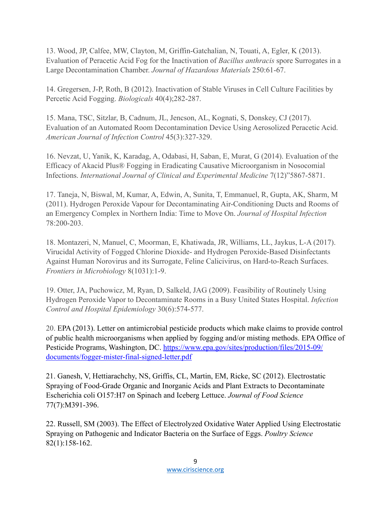13. Wood, JP, Calfee, MW, Clayton, M, Griffin-Gatchalian, N, Touati, A, Egler, K (2013). Evaluation of Peracetic Acid Fog for the Inactivation of *Bacillus anthracis* spore Surrogates in a Large Decontamination Chamber. *Journal of Hazardous Materials* 250:61-67.

14. Gregersen, J-P, Roth, B (2012). Inactivation of Stable Viruses in Cell Culture Facilities by Percetic Acid Fogging. *Biologicals* 40(4);282-287.

15. Mana, TSC, Sitzlar, B, Cadnum, JL, Jencson, AL, Kognati, S, Donskey, CJ (2017). Evaluation of an Automated Room Decontamination Device Using Aerosolized Peracetic Acid. *American Journal of Infection Control* 45(3):327-329.

16. Nevzat, U, Yanik, K, Karadag, A, Odabasi, H, Saban, E, Murat, G (2014). Evaluation of the Efficacy of Akacid Plus® Fogging in Eradicating Causative Microorganism in Nosocomial Infections. *International Journal of Clinical and Experimental Medicine* 7(12)"5867-5871.

17. Taneja, N, Biswal, M, Kumar, A, Edwin, A, Sunita, T, Emmanuel, R, Gupta, AK, Sharm, M (2011). Hydrogen Peroxide Vapour for Decontaminating Air-Conditioning Ducts and Rooms of an Emergency Complex in Northern India: Time to Move On. *Journal of Hospital Infection*  78:200-203.

18. Montazeri, N, Manuel, C, Moorman, E, Khatiwada, JR, Williams, LL, Jaykus, L-A (2017). Virucidal Activity of Fogged Chlorine Dioxide- and Hydrogen Peroxide-Based Disinfectants Against Human Norovirus and its Surrogate, Feline Calicivirus, on Hard-to-Reach Surfaces. *Frontiers in Microbiology* 8(1031):1-9.

19. Otter, JA, Puchowicz, M, Ryan, D, Salkeld, JAG (2009). Feasibility of Routinely Using Hydrogen Peroxide Vapor to Decontaminate Rooms in a Busy United States Hospital. *Infection Control and Hospital Epidemiology* 30(6):574-577.

20. EPA (2013). Letter on antimicrobial pesticide products which make claims to provide control of public health microorganisms when applied by fogging and/or misting methods. EPA Office of Pesticide Programs, Washington, DC. [https://www.epa.gov/sites/production/files/2015-09/](https://www.epa.gov/sites/production/files/2015-09/documents/fogger-mister-final-signed-letter.pdf) [documents/fogger-mister-final-signed-letter.pdf](https://www.epa.gov/sites/production/files/2015-09/documents/fogger-mister-final-signed-letter.pdf)

21. Ganesh, V, Hettiarachchy, NS, Griffis, CL, Martin, EM, Ricke, SC (2012). Electrostatic Spraying of Food-Grade Organic and Inorganic Acids and Plant Extracts to Decontaminate Escherichia coli O157:H7 on Spinach and Iceberg Lettuce. *Journal of Food Science*  77(7):M391-396.

22. Russell, SM (2003). The Effect of Electrolyzed Oxidative Water Applied Using Electrostatic Spraying on Pathogenic and Indicator Bacteria on the Surface of Eggs. *Poultry Science*  82(1):158-162.